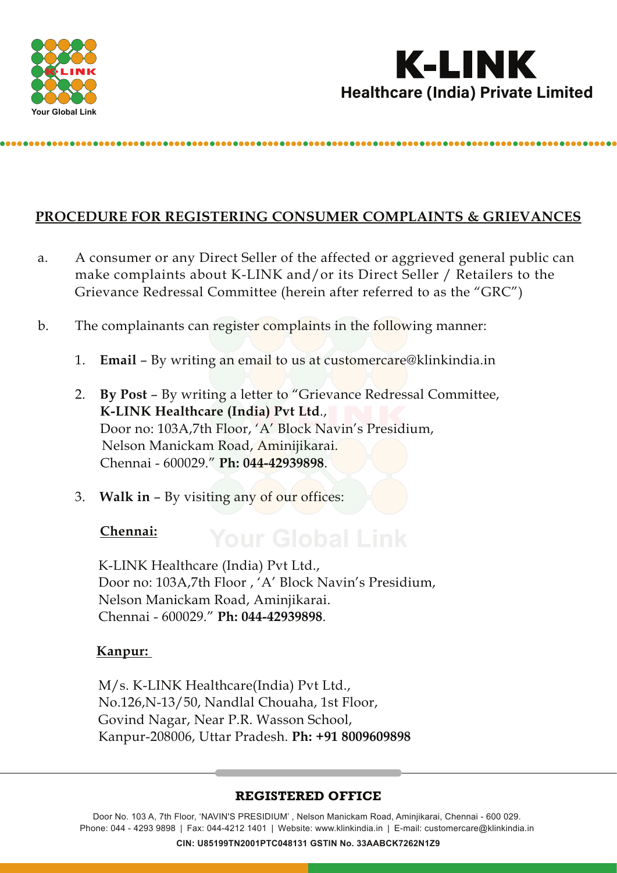



# **PROCEDURE FOR REGISTERING CONSUMER COMPLAINTS & GRIEVANCES**

- a. A consumer or any Direct Seller of the affected or aggrieved general public can make complaints about K-LINK and/or its Direct Seller / Retailers to the Grievance Redressal Committee (herein after referred to as the "GRC")
- b. The complainants can register complaints in the following manner:
	- 1. **Email** By writing an email to us at customercare@klinkindia.in
	- 2. **By Post** By writing a letter to "Grievance Redressal Committee, **K-LINK Healthcare (India) Pvt Ltd**., Door no: 103A,7th Floor, 'A' Block Navin's Presidium, Nelson Manickam Road, Aminijikarai. Chennai - 600029." **Ph: 044-42939898**.
	- 3. **Walk in** By visiting any of our offices:

#### **Chennai:**

 K-LINK Healthcare (India) Pvt Ltd., Door no: 103A,7th Floor , 'A' Block Navin's Presidium, Nelson Manickam Road, Aminjikarai. Chennai - 600029." **Ph: 044-42939898**.

#### **Kanpur:**

 M/s. K-LINK Healthcare(India) Pvt Ltd., No.126,N-13/50, Nandlal Chouaha, 1st Floor, Govind Nagar, Near P.R. Wasson School, Kanpur-208006, Uttar Pradesh. **Ph: +91 8009609898**

#### **REGISTERED OFFICE**

Door No. 103 A, 7th Floor, 'NAVIN'S PRESIDIUM' , Nelson Manickam Road, Aminjikarai, Chennai - 600 029. Phone: 044 - 4293 9898 | Fax: 044-4212 1401 | Website: www.klinkindia.in | E-mail: customercare@klinkindia.in **CIN: U85199TN2001PTC048131 GSTIN No. 33AABCK7262N1Z9**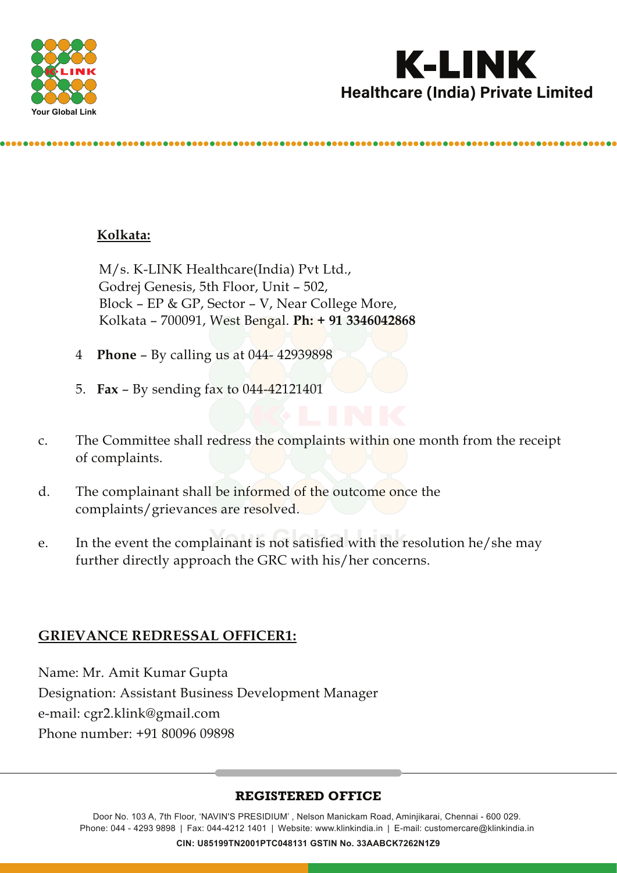



# **Kolkata:**

 M/s. K-LINK Healthcare(India) Pvt Ltd., Godrej Genesis, 5th Floor, Unit – 502, Block – EP & GP, Sector – V, Near College More, Kolkata – 700091, West Bengal. **Ph: + 91 3346042868**

- 4 **Phone** By calling us at 044- 42939898
- 5. **Fax** By sending fax to 044-42121401
- c. The Committee shall redress the complaints within one month from the receipt of complaints.
- d. The complainant shall be informed of the outcome once the complaints/grievances are resolved.
- e. In the event the complainant is not satisfied with the resolution he/she may further directly approach the GRC with his/her concerns.

# **GRIEVANCE REDRESSAL OFFICER1:**

Name: Mr. Amit Kumar Gupta Designation: Assistant Business Development Manager e-mail: cgr2.klink@gmail.com Phone number: +91 80096 09898

#### **REGISTERED OFFICE**

Door No. 103 A, 7th Floor, 'NAVIN'S PRESIDIUM' , Nelson Manickam Road, Aminjikarai, Chennai - 600 029. Phone: 044 - 4293 9898 | Fax: 044-4212 1401 | Website: www.klinkindia.in | E-mail: customercare@klinkindia.in **CIN: U85199TN2001PTC048131 GSTIN No. 33AABCK7262N1Z9**